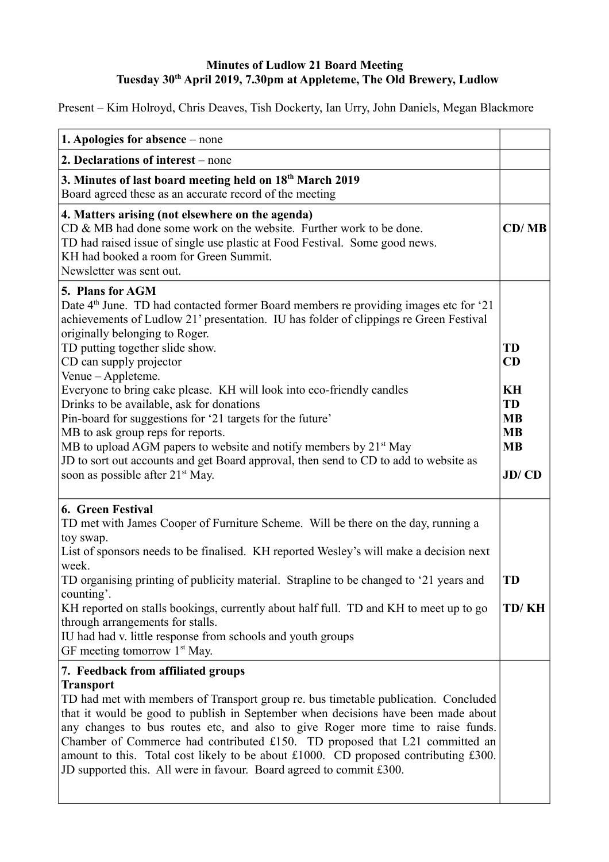## **Minutes of Ludlow 21 Board Meeting Tuesday 30th April 2019, 7.30pm at Appleteme, The Old Brewery, Ludlow**

Present – Kim Holroyd, Chris Deaves, Tish Dockerty, Ian Urry, John Daniels, Megan Blackmore

| 1. Apologies for absence – none                                                                                                                                                                                                                                                                                                                                                                                                                                                                                                                                                                                                                                                                                                                                                      |                                                                                    |
|--------------------------------------------------------------------------------------------------------------------------------------------------------------------------------------------------------------------------------------------------------------------------------------------------------------------------------------------------------------------------------------------------------------------------------------------------------------------------------------------------------------------------------------------------------------------------------------------------------------------------------------------------------------------------------------------------------------------------------------------------------------------------------------|------------------------------------------------------------------------------------|
| 2. Declarations of interest – none                                                                                                                                                                                                                                                                                                                                                                                                                                                                                                                                                                                                                                                                                                                                                   |                                                                                    |
| 3. Minutes of last board meeting held on 18th March 2019<br>Board agreed these as an accurate record of the meeting                                                                                                                                                                                                                                                                                                                                                                                                                                                                                                                                                                                                                                                                  |                                                                                    |
| 4. Matters arising (not elsewhere on the agenda)<br>CD & MB had done some work on the website. Further work to be done.<br>TD had raised issue of single use plastic at Food Festival. Some good news.<br>KH had booked a room for Green Summit.<br>Newsletter was sent out.                                                                                                                                                                                                                                                                                                                                                                                                                                                                                                         | CD/MB                                                                              |
| 5. Plans for AGM<br>Date 4 <sup>th</sup> June. TD had contacted former Board members re providing images etc for '21<br>achievements of Ludlow 21' presentation. IU has folder of clippings re Green Festival<br>originally belonging to Roger.<br>TD putting together slide show.<br>CD can supply projector<br>Venue - Appleteme.<br>Everyone to bring cake please. KH will look into eco-friendly candles<br>Drinks to be available, ask for donations<br>Pin-board for suggestions for '21 targets for the future'<br>MB to ask group reps for reports.<br>MB to upload AGM papers to website and notify members by 21 <sup>st</sup> May<br>JD to sort out accounts and get Board approval, then send to CD to add to website as<br>soon as possible after 21 <sup>st</sup> May. | <b>TD</b><br>CD<br>KH<br><b>TD</b><br><b>MB</b><br><b>MB</b><br><b>MB</b><br>JD/CD |
| 6. Green Festival<br>TD met with James Cooper of Furniture Scheme. Will be there on the day, running a<br>toy swap.<br>List of sponsors needs to be finalised. KH reported Wesley's will make a decision next<br>week.<br>TD organising printing of publicity material. Strapline to be changed to '21 years and<br>counting'.<br>KH reported on stalls bookings, currently about half full. TD and KH to meet up to go<br>through arrangements for stalls.<br>IU had had v. little response from schools and youth groups<br>GF meeting tomorrow 1 <sup>st</sup> May.                                                                                                                                                                                                               | <b>TD</b><br>TD/KH                                                                 |
| 7. Feedback from affiliated groups<br><b>Transport</b><br>TD had met with members of Transport group re. bus timetable publication. Concluded<br>that it would be good to publish in September when decisions have been made about<br>any changes to bus routes etc, and also to give Roger more time to raise funds.<br>Chamber of Commerce had contributed £150. TD proposed that L21 committed an<br>amount to this. Total cost likely to be about £1000. CD proposed contributing £300.<br>JD supported this. All were in favour. Board agreed to commit £300.                                                                                                                                                                                                                   |                                                                                    |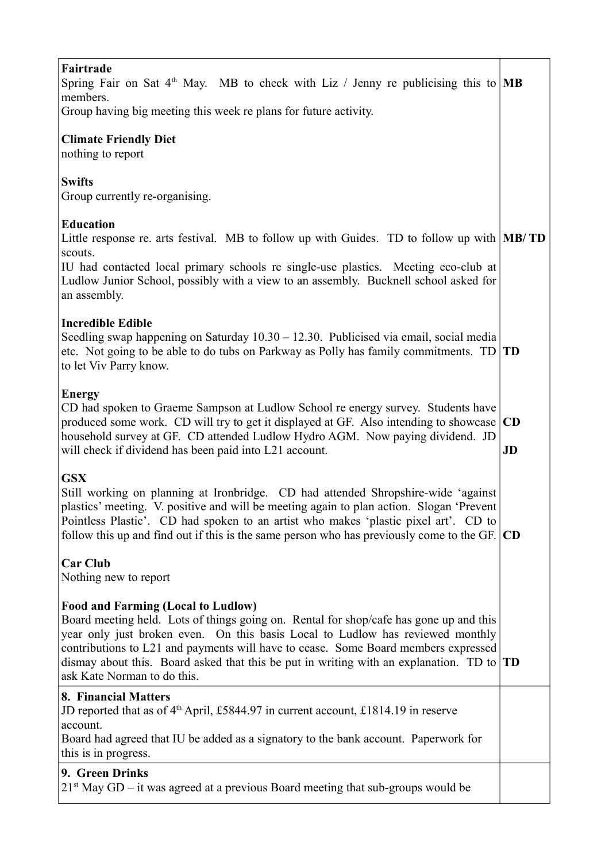| Fairtrade<br>Spring Fair on Sat 4 <sup>th</sup> May. MB to check with Liz / Jenny re publicising this to <b>MB</b><br>members.<br>Group having big meeting this week re plans for future activity.                                                                                                                                                                                                                                        |                 |
|-------------------------------------------------------------------------------------------------------------------------------------------------------------------------------------------------------------------------------------------------------------------------------------------------------------------------------------------------------------------------------------------------------------------------------------------|-----------------|
| <b>Climate Friendly Diet</b><br>nothing to report                                                                                                                                                                                                                                                                                                                                                                                         |                 |
| <b>Swifts</b><br>Group currently re-organising.                                                                                                                                                                                                                                                                                                                                                                                           |                 |
| <b>Education</b><br>Little response re. arts festival. MB to follow up with Guides. TD to follow up with <b>MB/TD</b><br>scouts.                                                                                                                                                                                                                                                                                                          |                 |
| IU had contacted local primary schools re single-use plastics. Meeting eco-club at<br>Ludlow Junior School, possibly with a view to an assembly. Bucknell school asked for<br>an assembly.                                                                                                                                                                                                                                                |                 |
| <b>Incredible Edible</b><br>Seedling swap happening on Saturday $10.30 - 12.30$ . Publicised via email, social media<br>etc. Not going to be able to do tubs on Parkway as Polly has family commitments. $TD   TD$<br>to let Viv Parry know.                                                                                                                                                                                              |                 |
| <b>Energy</b><br>CD had spoken to Graeme Sampson at Ludlow School re energy survey. Students have<br>produced some work. CD will try to get it displayed at GF. Also intending to showcase<br>household survey at GF. CD attended Ludlow Hydro AGM. Now paying dividend. JD<br>will check if dividend has been paid into L21 account.                                                                                                     | <b>CD</b><br>JD |
| <b>GSX</b><br>Still working on planning at Ironbridge. CD had attended Shropshire-wide 'against<br>plastics' meeting. V. positive and will be meeting again to plan action. Slogan 'Prevent<br>Pointless Plastic'. CD had spoken to an artist who makes 'plastic pixel art'. CD to<br>follow this up and find out if this is the same person who has previously come to the GF. $ CD $                                                    |                 |
| <b>Car Club</b><br>Nothing new to report                                                                                                                                                                                                                                                                                                                                                                                                  |                 |
| <b>Food and Farming (Local to Ludlow)</b><br>Board meeting held. Lots of things going on. Rental for shop/cafe has gone up and this<br>year only just broken even. On this basis Local to Ludlow has reviewed monthly<br>contributions to L21 and payments will have to cease. Some Board members expressed<br>dismay about this. Board asked that this be put in writing with an explanation. TD to $ TD$<br>ask Kate Norman to do this. |                 |
| 8. Financial Matters<br>JD reported that as of $4th$ April, £5844.97 in current account, £1814.19 in reserve<br>account.<br>Board had agreed that IU be added as a signatory to the bank account. Paperwork for<br>this is in progress.                                                                                                                                                                                                   |                 |
| 9. Green Drinks<br>$21st$ May GD – it was agreed at a previous Board meeting that sub-groups would be                                                                                                                                                                                                                                                                                                                                     |                 |